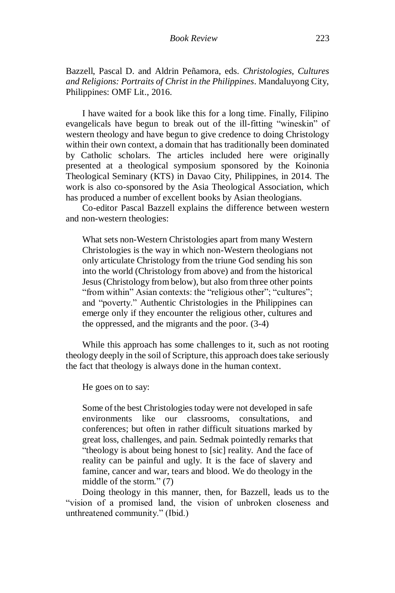Bazzell, Pascal D. and Aldrin Peñamora, eds. *Christologies, Cultures and Religions: Portraits of Christ in the Philippines*. Mandaluyong City, Philippines: OMF Lit., 2016.

I have waited for a book like this for a long time. Finally, Filipino evangelicals have begun to break out of the ill-fitting "wineskin" of western theology and have begun to give credence to doing Christology within their own context, a domain that has traditionally been dominated by Catholic scholars. The articles included here were originally presented at a theological symposium sponsored by the Koinonia Theological Seminary (KTS) in Davao City, Philippines, in 2014. The work is also co-sponsored by the Asia Theological Association, which has produced a number of excellent books by Asian theologians.

Co-editor Pascal Bazzell explains the difference between western and non-western theologies:

What sets non-Western Christologies apart from many Western Christologies is the way in which non-Western theologians not only articulate Christology from the triune God sending his son into the world (Christology from above) and from the historical Jesus (Christology from below), but also from three other points "from within" Asian contexts: the "religious other"; "cultures"; and "poverty." Authentic Christologies in the Philippines can emerge only if they encounter the religious other, cultures and the oppressed, and the migrants and the poor. (3-4)

While this approach has some challenges to it, such as not rooting theology deeply in the soil of Scripture, this approach does take seriously the fact that theology is always done in the human context.

He goes on to say:

Some of the best Christologies today were not developed in safe environments like our classrooms, consultations, and conferences; but often in rather difficult situations marked by great loss, challenges, and pain. Sedmak pointedly remarks that "theology is about being honest to [sic] reality. And the face of reality can be painful and ugly. It is the face of slavery and famine, cancer and war, tears and blood. We do theology in the middle of the storm." (7)

Doing theology in this manner, then, for Bazzell, leads us to the "vision of a promised land, the vision of unbroken closeness and unthreatened community." (Ibid.)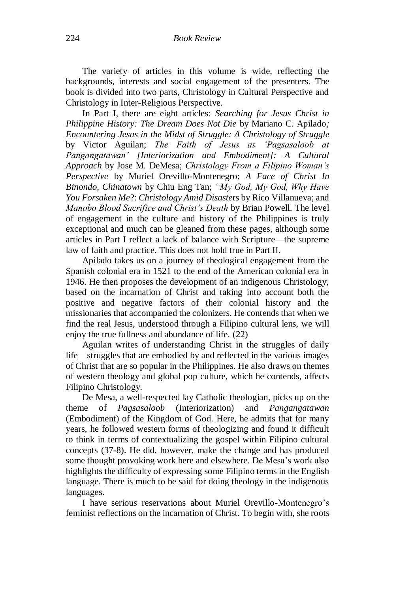The variety of articles in this volume is wide, reflecting the backgrounds, interests and social engagement of the presenters. The book is divided into two parts, Christology in Cultural Perspective and Christology in Inter-Religious Perspective.

In Part I, there are eight articles: *Searching for Jesus Christ in Philippine History: The Dream Does Not Die* by Mariano C. Apilado*; Encountering Jesus in the Midst of Struggle: A Christology of Struggle* by Victor Aguilan; *The Faith of Jesus as 'Pagsasaloob at Pangangatawan' [Interiorization and Embodiment]: A Cultural Approach* by Jose M. DeMesa; *Christology From a Filipino Woman's Perspective* by Muriel Orevillo-Montenegro; *A Face of Christ In Binondo, Chinatown* by Chiu Eng Tan; *"My God, My God, Why Have You Forsaken Me*?: *Christology Amid Disaste*rs by Rico Villanueva; and *Manobo Blood Sacrifice and Christ's Death* by Brian Powell. The level of engagement in the culture and history of the Philippines is truly exceptional and much can be gleaned from these pages, although some articles in Part I reflect a lack of balance with Scripture—the supreme law of faith and practice. This does not hold true in Part II.

Apilado takes us on a journey of theological engagement from the Spanish colonial era in 1521 to the end of the American colonial era in 1946. He then proposes the development of an indigenous Christology, based on the incarnation of Christ and taking into account both the positive and negative factors of their colonial history and the missionaries that accompanied the colonizers. He contends that when we find the real Jesus, understood through a Filipino cultural lens, we will enjoy the true fullness and abundance of life. (22)

Aguilan writes of understanding Christ in the struggles of daily life—struggles that are embodied by and reflected in the various images of Christ that are so popular in the Philippines. He also draws on themes of western theology and global pop culture, which he contends, affects Filipino Christology.

De Mesa, a well-respected lay Catholic theologian, picks up on the theme of *Pagsasaloob* (Interiorization) and *Pangangatawan*  (Embodiment) of the Kingdom of God. Here, he admits that for many years, he followed western forms of theologizing and found it difficult to think in terms of contextualizing the gospel within Filipino cultural concepts (37-8). He did, however, make the change and has produced some thought provoking work here and elsewhere. De Mesa's work also highlights the difficulty of expressing some Filipino terms in the English language. There is much to be said for doing theology in the indigenous languages.

I have serious reservations about Muriel Orevillo-Montenegro's feminist reflections on the incarnation of Christ. To begin with, she roots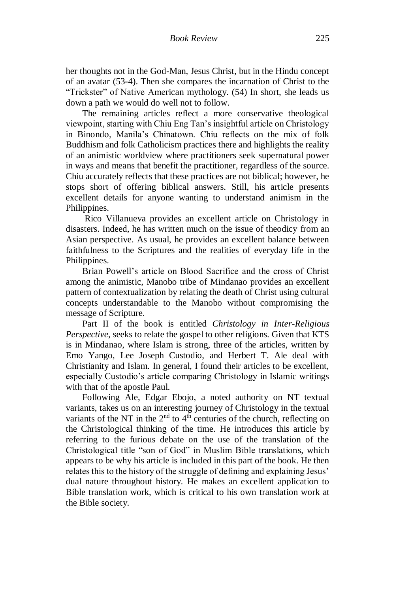her thoughts not in the God-Man, Jesus Christ, but in the Hindu concept of an avatar (53-4). Then she compares the incarnation of Christ to the "Trickster" of Native American mythology. (54) In short, she leads us down a path we would do well not to follow.

The remaining articles reflect a more conservative theological viewpoint, starting with Chiu Eng Tan's insightful article on Christology in Binondo, Manila's Chinatown. Chiu reflects on the mix of folk Buddhism and folk Catholicism practices there and highlights the reality of an animistic worldview where practitioners seek supernatural power in ways and means that benefit the practitioner, regardless of the source. Chiu accurately reflects that these practices are not biblical; however, he stops short of offering biblical answers. Still, his article presents excellent details for anyone wanting to understand animism in the Philippines.

Rico Villanueva provides an excellent article on Christology in disasters. Indeed, he has written much on the issue of theodicy from an Asian perspective. As usual, he provides an excellent balance between faithfulness to the Scriptures and the realities of everyday life in the Philippines.

Brian Powell's article on Blood Sacrifice and the cross of Christ among the animistic, Manobo tribe of Mindanao provides an excellent pattern of contextualization by relating the death of Christ using cultural concepts understandable to the Manobo without compromising the message of Scripture.

Part II of the book is entitled *Christology in Inter-Religious Perspective*, seeks to relate the gospel to other religions. Given that KTS is in Mindanao, where Islam is strong, three of the articles, written by Emo Yango, Lee Joseph Custodio, and Herbert T. Ale deal with Christianity and Islam. In general, I found their articles to be excellent, especially Custodio's article comparing Christology in Islamic writings with that of the apostle Paul.

Following Ale, Edgar Ebojo, a noted authority on NT textual variants, takes us on an interesting journey of Christology in the textual variants of the NT in the  $2<sup>nd</sup>$  to  $4<sup>th</sup>$  centuries of the church, reflecting on the Christological thinking of the time. He introduces this article by referring to the furious debate on the use of the translation of the Christological title "son of God" in Muslim Bible translations, which appears to be why his article is included in this part of the book. He then relates this to the history of the struggle of defining and explaining Jesus' dual nature throughout history. He makes an excellent application to Bible translation work, which is critical to his own translation work at the Bible society.